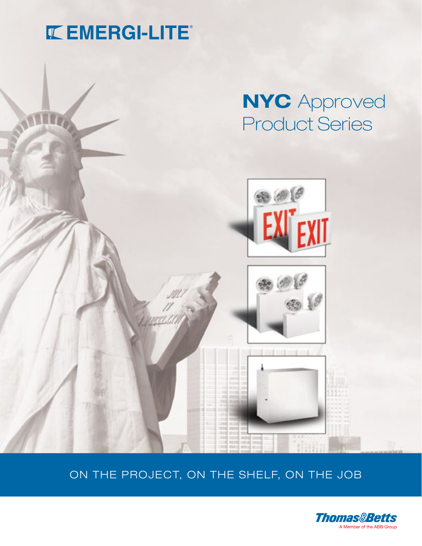# **ICEMERGI-LITE®**

# NYC Approved Product Series



# ON THE PROJECT, ON THE SHELF, ON THE JOB

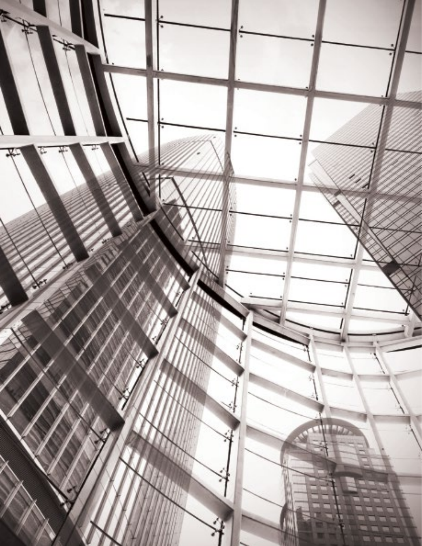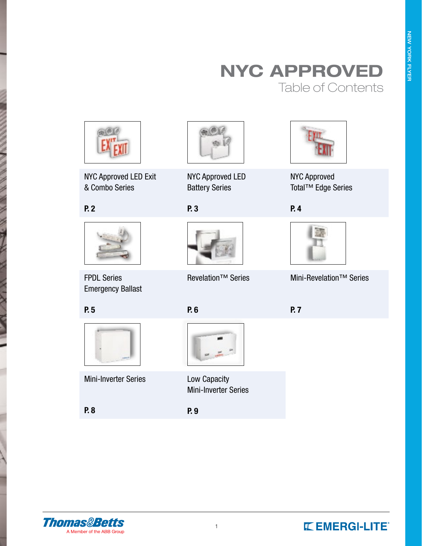# NYC APPROVED Table of Contents



NYC Approved LED Exit & Combo Series

P. 2

ククチング



FPDL Series Emergency Ballast

P. 5





Mini-Inverter Series

P. 8



NYC Approved LED Battery Series

P. 3



Revelation™ Series

Low Capacity

P. 9

Mini-Inverter Series



NYC Approved Total™ Edge Series

P. 4



Mini-Revelation™ Series

P. 7



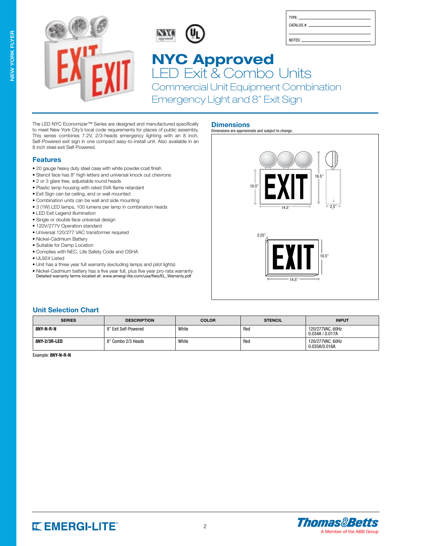





| TYPE: with a state of the contract of the contract of the contract of the contract of the contract of the contract of the contract of the contract of the contract of the contract of the contract of the contract of the cont |
|--------------------------------------------------------------------------------------------------------------------------------------------------------------------------------------------------------------------------------|
| NOTES: NOTES:                                                                                                                                                                                                                  |

NYC Approved LED Exit & Combo Units Commercial Unit Equipment Combination Emergency Light and 8" Exit Sign

The LED NYC Economizer™ Series are designed and manufactured specifically to meet New York City's local code requirements for places of public assembly. This series combines 7.2V, 2/3-heads emergency lighting with an 8 inch, Self-Powered exit sign in one compact easy-to-install unit. Also available in an 8 inch steel exit Self-Powered.

#### Features

- 20 gauge heavy duty steel case with white powder-coat finish
- Stencil face has 8" high letters and universal knock out chevrons
- 2 or 3 glare free, adjustable round heads
- Plastic lamp housing with rated 5VA flame retardant
- Exit Sign can be ceiling, end or wall mounted
- Combination units can be wall and side mounting
- 3 (1W) LED lamps, 100 lumens per lamp in combination heads
- LED Exit Legend illumination
- Single or double face universal design
- 120V/277V Operation standard
- Universal 120/277 VAC transformer required
- Nickel-Cadmium Battery
- Suitable for Damp Location
- Complies with NEC, Life Safety Code and OSHA
- UL924 Listed
- Unit has a three year full warranty (excluding lamps and pilot lights)
- Nickel-Cadmium battery has a five year full, plus five year pro-rata warranty Detailed warranty terms located at: www.emergi-lite.com/usa/files/EL\_Warranty.pdf

#### **Dimensions**

Dimensions are approximate and subject to change.



#### Unit Selection Chart

| <b>SERIES</b> | <b>DESCRIPTION</b>   | <b>COLOR</b> | <b>STENCIL</b> | <b>INPUT</b>                      |
|---------------|----------------------|--------------|----------------|-----------------------------------|
| 8NY-N-R-N     | 8" Exit Self-Powered | White        | Red            | 120/277VAC, 60Hz<br>0.034A/0.017A |
| 8NY-2/3R-LED  | 8" Combo 2/3 Heads   | White        | Red            | 120/277VAC, 60Hz<br>0.035A/0.016A |

Example: 8NY-N-R-N

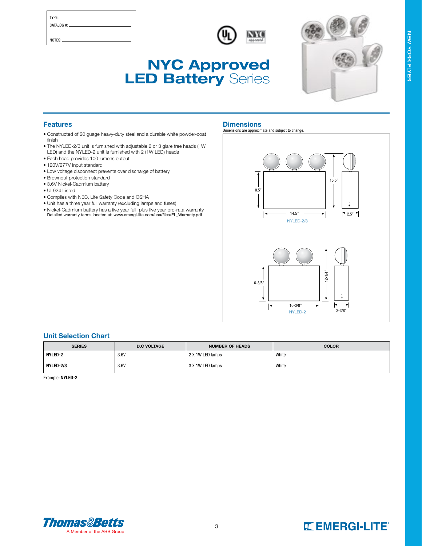

NYC Approved

LED Battery Series



#### Features

- Constructed of 20 guage heavy-duty steel and a durable white powder-coat finish
- The NYLED-2/3 unit is furnished with adjustable 2 or 3 glare free heads (1W LED) and the NYLED-2 unit is furnished with 2 (1W LED) heads
- Each head provides 100 lumens output
- 120V/277V Input standard
- Low voltage disconnect prevents over discharge of battery
- Brownout protection standard
- 3.6V Nickel-Cadmium battery
- UL924 Listed
- Complies with NEC, Life Safety Code and OSHA
- Unit has a three year full warranty (excluding lamps and fuses)
- Nickel-Cadmium battery has a five year full, plus five year pro-rata warranty Detailed warranty terms located at: www.emergi-lite.com/usa/files/EL\_Warranty.pdf

#### **Dimensions**

Dimensions are approximate and subject to change.



#### Unit Selection Chart

| <b>SERIES</b><br><b>D.C VOLTAGE</b> |      | <b>NUMBER OF HEADS</b> | <b>COLOR</b> |
|-------------------------------------|------|------------------------|--------------|
| NYLED-2                             | 3.6V | 2 X 1W LED lamps       | White        |
| NYLED-2/3                           | 3.6V | 3 X 1W LED lamps       | White        |

3

Example: NYLED-2



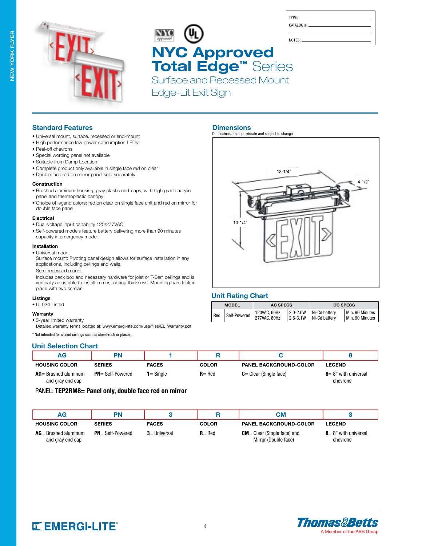



# NYC Approved Total Edge<sup>™</sup> Series

| $CATALOG$ #: $\qquad \qquad$ |  |
|------------------------------|--|
| NOTES: NOTES:                |  |

Surface and Recessed Mount Edge-Lit Exit Sign

#### Standard Features

- Universal mount, surface, recessed or end-mount
- High performance low power consumption LEDs
- Peel-off chevrons
- Special wording panel not available
- Suitable from Damp Location
- Complete product only available in single face red on clear
- Double face red on mirror panel sold separately

#### **Construction**

- Brushed aluminum housing, gray plastic end-caps, with high grade acrylic panel and thermoplastic canopy
- Choice of legend colors: red on clear on single face unit and red on mirror for double face panel

#### Electrical

- Dual-voltage input capability 120/277VAC
- Self-powered models feature battery delivering more than 90 minutes capacity in emergency mode

#### Installation

#### • Universal mount

 Surface mount: Pivoting panel design allows for surface installation in any applications, including ceilings and walls.

#### Semi recessed mount

 Includes back box and necessary hardware for joist or T-Bar\* ceilings and is vertically adjustable to install in most ceiling thickness. Mounting bars lock in place with two screws.

#### Listings

• UL924 Listed

#### **Warranty**

• 3-year limited warranty

Detailed warranty terms located at: www.emergi-lite.com/usa/files/EL\_Warranty.pdf

\* Not intended for closed ceilings such as sheet-rock or plaster.

#### Unit Selection Chart

| AG                                          | PN                  |              |              |                               |                                      |
|---------------------------------------------|---------------------|--------------|--------------|-------------------------------|--------------------------------------|
| <b>HOUSING COLOR</b>                        | <b>SERIES</b>       | <b>FACES</b> | <b>COLOR</b> | <b>PANEL BACKGROUND-COLOR</b> | LEGEND                               |
| $AG =$ Brushed aluminum<br>and gray end cap | $PN = Self-Powered$ | $1 =$ Single | $R = Red$    | $C = Clear$ (Single face)     | $8 = 8$ " with universal<br>chevrons |

PANEL: TEP2RM8= Panel only, double face red on mirror

| AG                                          | PN                  |                |              | CМ                                                     |                                      |
|---------------------------------------------|---------------------|----------------|--------------|--------------------------------------------------------|--------------------------------------|
| <b>HOUSING COLOR</b>                        | <b>SERIES</b>       | <b>FACES</b>   | <b>COLOR</b> | <b>PANEL BACKGROUND-COLOR</b>                          | <b>LEGEND</b>                        |
| $AG =$ Brushed aluminum<br>and gray end cap | $PN = Self-Powered$ | $3=$ Universal | $R = Red$    | $CM = Clear$ (Single face) and<br>Mirror (Double face) | $8 = 8$ " with universal<br>chevrons |

#### **Dimensions**

Dimensions are approximate and subject to change.



#### Unit Rating Chart

| <b>MODEL</b> |              | <b>AC SPECS</b>              |                           | <b>DC SPECS</b>                |                                    |
|--------------|--------------|------------------------------|---------------------------|--------------------------------|------------------------------------|
| Red          | Self-Powered | 120VAC, 60Hz<br>277VAC. 60Hz | 2.0-2.6W<br>$12.6 - 3.1W$ | Ni-Cd battery<br>Ni-Cd battery | Min. 90 Minutes<br>Min. 90 Minutes |

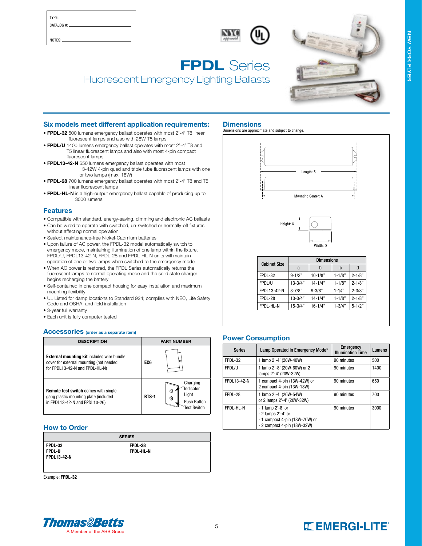| TYPE: The contract of the contract of the contract of the contract of the contract of the contract of the contract of the contract of the contract of the contract of the contract of the contract of the contract of the cont |
|--------------------------------------------------------------------------------------------------------------------------------------------------------------------------------------------------------------------------------|
|                                                                                                                                                                                                                                |
|                                                                                                                                                                                                                                |
| NOTES:                                                                                                                                                                                                                         |



**FPDL** Series

Fluorescent Emergency Lighting Ballasts

#### Six models meet different application requirements:

- FPDL-32 500 lumens emergency ballast operates with most 2'-4' T8 linear fluorescent lamps and also with 28W T5 lamps
- FPDL/U 1400 lumens emergency ballast operates with most 2'-4' T8 and T5 linear fluorescent lamps and also with most 4-pin compact fluorescent lamps
- FPDL13-42-N 650 lumens emergency ballast operates with most 13-42W 4-pin quad and triple tube fluorescent lamps with one or two lamps (max. 18W)
- FPDL-28 700 lumens emergency ballast operates with most 2'-4' T8 and T5 linear fluorescent lamps
- FPDL-HL-N is a high-output emergency ballast capable of producing up to 3000 lumens

#### Features

- Compatible with standard, energy-saving, dimming and electronic AC ballasts
- Can be wired to operate with switched, un-switched or normally-off fixtures without affecting normal operation
- Sealed, maintenance-free Nickel-Cadmium batteries
- Upon failure of AC power, the FPDL-32 model automatically switch to emergency mode, maintaining illumination of one lamp within the fixture. FPDL/U, FPDL13-42-N, FPDL-28 and FPDL-HL-N units will maintain operation of one or two lamps when switched to the emergency mode
- When AC power is restored, the FPDL Series automatically returns the fluorescent lamps to normal operating mode and the solid state charger begins recharging the battery
- Self-contained in one compact housing for easy installation and maximum mounting flexibility
- UL Listed for damp locations to Standard 924; complies with NEC, Life Safety Code and OSHA, and field installation
- 3-year full warranty
- Each unit is fully computer tested

#### Accessories (order as a separate item)

| <b>DESCRIPTION</b>                                                                                                             | <b>PART NUMBER</b>                                                                                    |  |
|--------------------------------------------------------------------------------------------------------------------------------|-------------------------------------------------------------------------------------------------------|--|
| <b>External mounting kit includes wire bundle</b><br>cover for external mounting (not needed<br>for FPDL13-42-N and FPDL-HL-N) | EC6                                                                                                   |  |
| <b>Remote test switch comes with single</b><br>gang plastic mounting plate (included<br>in FPDL13-42-N and FPDL10-26)          | Charging<br>Indicator<br>Ô.<br>Light<br><b>RTS-1</b><br>Ø<br><b>Push Button</b><br><b>Test Switch</b> |  |

#### How to Order

| <b>SERIES</b>                     |  |  |  |  |  |
|-----------------------------------|--|--|--|--|--|
| FPDL-32<br>FPDL-28                |  |  |  |  |  |
| <b>FPDL-U</b><br><b>FPDL-HL-N</b> |  |  |  |  |  |
| <b>FPDL13-42-N</b>                |  |  |  |  |  |
|                                   |  |  |  |  |  |

Example: FPDL-32

#### **Dimensions**

Dimensions are approximate and subject to change.



| <b>Cabinet Size</b> | <b>Dimensions</b> |             |            |            |  |
|---------------------|-------------------|-------------|------------|------------|--|
|                     | a                 |             |            | d          |  |
| FPDL-32             | $9 - 1/2"$        | $10 - 1/8"$ | $1 - 1/8"$ | $2 - 1/8"$ |  |
| FPDL/U              | $13 - 3/4"$       | $14 - 1/4"$ | $1 - 1/8"$ | $2 - 1/8"$ |  |
| FPDL13-42-N         | $8 - 7/8"$        | $9 - 3/8"$  | $1 - 1/7$  | $2 - 3/8"$ |  |
| FPDL-28             | $13 - 3/4"$       | $14 - 1/4"$ | $1 - 1/8"$ | $2 - 1/8"$ |  |
| FPDL-HL-N           | $15 - 3/4"$       | $16 - 1/4"$ | $1 - 3/4"$ | $5 - 1/2"$ |  |

#### Power Consumption

| <b>Series</b> | Lamp Operated in Emergency Mode*                                                                           | Emergency<br><b>Illumination Time</b> | Lumens |
|---------------|------------------------------------------------------------------------------------------------------------|---------------------------------------|--------|
| FPDL-32       | 1 lamp 2'-4' (20W-40W)                                                                                     | 90 minutes                            | 500    |
| FPDL/U        | 1 lamp 2'-8' (20W-60W) or 2<br>lamps 2'-4' (20W-32W)                                                       | 90 minutes                            | 1400   |
| FPDL13-42-N   | 1 compact 4-pin (13W-42W) or<br>2 compact 4-pin (13W-18W)                                                  | 90 minutes                            | 650    |
| FPDL-28       | 1 lamp 2'-4' (20W-54W)<br>or 2 lamps 2'-4' (20W-32W)                                                       | 90 minutes                            | 700    |
| FPDL-HL-N     | $-1$ lamp 2'-8' or<br>- 2 lamps 2'-4' or<br>- 1 compact 4-pin (18W-70W) or<br>$-2$ compact 4-pin (18W-32W) | 90 minutes                            | 3000   |



NEW YORK FLYER

**NEW YORK FLYER** 

# **IT EMERGI-LITE®**

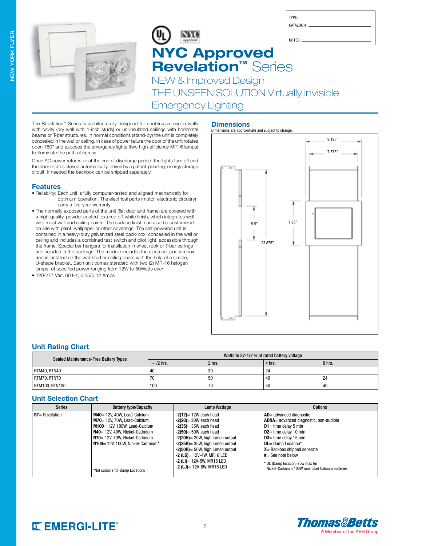

### CATALOG #: NOTES: NYC Approved Revelation<sup>™</sup> Series NEW & Improved Design THE UNSEEN SOLUTION Virtually Invisible Emergency Lighting

| TYPE: The contract of the contract of the contract of the contract of the contract of the contract of the contract of the contract of the contract of the contract of the contract of the contract of the contract of the cont<br>CATALOG #: |  |
|----------------------------------------------------------------------------------------------------------------------------------------------------------------------------------------------------------------------------------------------|--|
| NOTES: NOTES:                                                                                                                                                                                                                                |  |

The Revelation™ Series is architecturally designed for unobtrusive use in walls with cavity (dry wall with 4-inch studs) or un-insulated ceilings with horizontal beams or T-bar structures. In normal conditions (stand-by) the unit is completely concealed in the wall or ceiling. In case of power failure the door of the unit rotates open 180° and exposes the emergency lights (two high-efficiency MR16 lamps)

Once AC power returns or at the end of discharge period, the lights turn off and the door rotates closed automatically, driven by a patent-pending, energy storage circuit. If needed the backbox can be shipped separately.

#### Features

to illuminate the path of egress.

- Reliability: Each unit is fully computer-tested and aligned mechanically for optimum operation. The electrical parts (motor, electronic circuitry) carry a five-year warranty.
- The normally exposed parts of the unit (flat door and frame) are covered with a high-quality, powder coated textured off-white finish, which integrates well with most wall and ceiling paints. The surface finish can also be customized on site with paint, wallpaper or other coverings. The self-powered unit is contained in a heavy-duty galvanized steel back-box, concealed in the wall or ceiling and includes a combined test switch and pilot light, accessible through the frame. Special bar hangers for installation in sheet rock or T-bar ceilings are included in the package. The module includes the electrical junction box and is installed on the wall stud or ceiling beam with the help of a simple, U-shape bracket. Each unit comes standard with two (2) MR-16 halogen lamps, of specified power ranging from 12W to 50Watts each.
- 120/277 Vac, 60 Hz, 0.25/0.12 Amps

#### **Dimensions**

Dimensions are approximate and subject to change.



#### Unit Rating Chart

| <b>Sealed Maintenance-Free Battery Types</b> |                | Watts to 87-1/2 % of rated battery voltage |        |        |  |
|----------------------------------------------|----------------|--------------------------------------------|--------|--------|--|
|                                              | $1 - 1/2$ hrs. | 2 hrs.                                     | 4 hrs. | 8 hrs. |  |
| RTM40. RTN40                                 | 40             | 30                                         | 24     |        |  |
| RTM70. RTN70                                 | 70             | 50                                         | 40     | 24     |  |
| RTM100, RTN100                               | 100            | 70                                         | 50     | 40     |  |

#### Unit Selection Chart

| <b>Series</b>     | <b>Battery type/Capacity</b>                                                                                                                                                                                                                       | Lamp Wattage                                                                                                                                                                                                                                                                                                                      | <b>Options</b>                                                                                                                                                                                                                                                                                                                           |
|-------------------|----------------------------------------------------------------------------------------------------------------------------------------------------------------------------------------------------------------------------------------------------|-----------------------------------------------------------------------------------------------------------------------------------------------------------------------------------------------------------------------------------------------------------------------------------------------------------------------------------|------------------------------------------------------------------------------------------------------------------------------------------------------------------------------------------------------------------------------------------------------------------------------------------------------------------------------------------|
| $RT = Revelation$ | $M40 = 12V. 40W.$ Lead-Calcium<br>$M70 = 12V$ , 70W, Lead-Calcium<br>$M100 = 12V. 100W.$ Lead-Calcium<br>N40= 12V, 40W, Nickel-Cadmium<br>N70= 12V, 70W, Nickel-Cadmium<br>$N100 = 12V. 100W.$ Nickel-Cadmium*<br>*Not suitable for Damp Locations | $-2(12) = 12W$ each head<br>$-2(20) = 20W$ each head<br>$-2(35)$ = 35W each head<br>$-2(50)$ = 50W each head<br>$-2(20H) = 20W$ , high lumen output<br>$-2(35H) = 35W$ , high lumen output<br>$-2(50H) = 50W$ , high lumen output<br>$-2$ (LG) = 12V-4W, MR16 LED<br>$-2$ (LI) = 12V-5W, MR16 LED<br>$-2$ (LJ) = 12V-6W, MR16 LED | $AD =$ advanced diagnostic<br><b>ADNA</b> = advanced diagnostic, non-audible<br>$D1 =$ time delay 5 min<br>$D2$ = time delay 10 min<br>$D3$ = time delay 15 min<br>$DL =$ Damp Location*<br>$X =$ Backbox shipped seperate<br>$#$ = See note below<br>* DL (Damp location) 70w max for<br>Nickel-Cadmium 100W max Lead Calcium batteries |

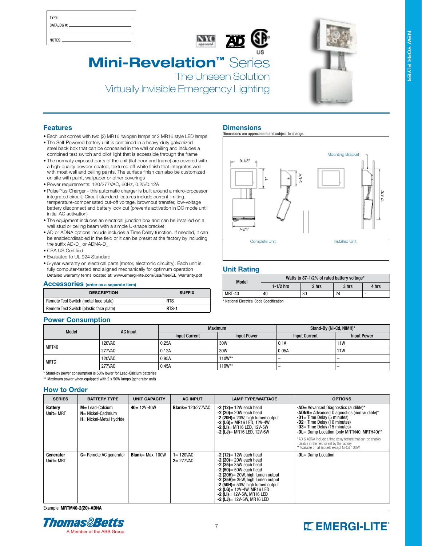| í      |
|--------|
| i      |
|        |
|        |
|        |
| í      |
|        |
|        |
|        |
|        |
|        |
|        |
|        |
| í      |
|        |
| i      |
|        |
| í      |
|        |
| i      |
|        |
|        |
|        |
| i      |
| í      |
|        |
| ۱      |
|        |
|        |
|        |
|        |
| ı      |
|        |
|        |
| í      |
|        |
|        |
|        |
| í      |
|        |
| í      |
|        |
|        |
|        |
|        |
| i      |
| í      |
|        |
|        |
|        |
| í      |
|        |
|        |
|        |
|        |
|        |
|        |
|        |
|        |
| ׇ֚֘֝֬  |
|        |
| í      |
| ۱      |
|        |
|        |
|        |
|        |
|        |
|        |
|        |
| i<br>I |
|        |
| í      |

| NOTES: NOTES: |
|---------------|



# **Mini-Revelation™ Series** The Unseen Solution Virtually Invisible Emergency Lighting



#### Features

- Each unit comes with two (2) MR16 halogen lamps or 2 MR16 style LED lamps
- The Self-Powered battery unit is contained in a heavy-duty galvanized steel back box that can be concealed in the wall or ceiling and includes a combined test switch and pilot light that is accessible through the frame
- The normally exposed parts of the unit (flat door and frame) are covered with a high-quality powder-coated, textured off-white finish that integrates well with most wall and ceiling paints. The surface finish can also be customized on site with paint, wallpaper or other coverings
- Power requirements: 120/277VAC, 60Hz, 0.25/0.12A
- PulsePlus Charger this automatic charger is built around a micro-processor integrated circuit. Circuit standard features include current limiting, temperature-compensated cut-off voltage, brownout transfer, low-voltage battery disconnect and battery lock out (prevents activation in DC mode until initial AC activation)
- The equipment includes an electrical junction box and can be installed on a wall stud or ceiling beam with a simple U-shape bracket
- AD or ADNA options include includes a Time Delay function. If needed, it can be enabled/disabled in the field or it can be preset at the factory by including the suffix AD-D\_ or ADNA-D
- CSA US Certified
- Evaluated to UL 924 Standard
- 5-year warranty on electrical parts (motor, electronic circuitry). Each unit is fully computer-tested and aligned mechanically for optimum operation Detailed warranty terms located at: www.emergi-lite.com/usa/files/EL\_Warranty.pdf

#### Accessories (order as a separate item)

| <b>DESCRIPTION</b>                      | <b>SUFFIX</b> |
|-----------------------------------------|---------------|
| Remote Test Switch (metal face plate)   | <b>RTS</b>    |
| Remote Text Switch (plastic face plate) | RTS-1         |

#### **Dimensions**

Dimensions are approximate and subject to change.



#### Unit Rating

| <b>Model</b>  |             | Watts to 87-1/2% of rated battery voltage* |       |       |  |  |  |
|---------------|-------------|--------------------------------------------|-------|-------|--|--|--|
|               | $1-1/2$ hrs | 2 hrs                                      | 3 hrs | 4 hrs |  |  |  |
| <b>MRT-40</b> | 40          | 30                                         |       |       |  |  |  |

\* National Electrical Code Specification

#### Power Consumption

| <b>Model</b> | <b>AC Input</b> | <b>Maximum</b>       |                    | Stand-By (Ni-Cd, NiMH)* |                    |
|--------------|-----------------|----------------------|--------------------|-------------------------|--------------------|
|              |                 | <b>Input Current</b> | <b>Input Power</b> | <b>Input Current</b>    | <b>Input Power</b> |
| MRT40        | <b>120VAC</b>   | 0.25A                | 30W                | 0.1A                    | <b>11W</b>         |
|              | 277VAC          | 0.12A                | 30W                | 0.05A                   | <b>11W</b>         |
| MRTG         | <b>120VAC</b>   | 0.95A                | 110W**             | -                       | -                  |
|              | 277VAC          | 0.45A                | 110W**             |                         | -                  |

\* Stand-by power consumption is 50% lower for Lead-Calcium batteries

\*\* Maximum power when equipped with 2 x 50W lamps (generator unit)

#### How to Order

| <b>SERIES</b>               | <b>BATTERY TYPE</b>                                                | <b>UNIT CAPACITY</b>       | <b>AC INPUT</b>                | <b>LAMP TYPE/WATTAGE</b>                                                                                                                                                                                                                                                                                                                 | <b>OPTIONS</b>                                                                                                                                                                                                                              |
|-----------------------------|--------------------------------------------------------------------|----------------------------|--------------------------------|------------------------------------------------------------------------------------------------------------------------------------------------------------------------------------------------------------------------------------------------------------------------------------------------------------------------------------------|---------------------------------------------------------------------------------------------------------------------------------------------------------------------------------------------------------------------------------------------|
| <b>Battery</b><br>Unit= MRT | M= Lead-Calcium<br>N= Nickel-Cadmium<br>$H$ = Nickel-Metal Hydride | $40 = 12V - 40W$           | <b>Blank</b> = 120/277VAC      | $-2(12) = 12W$ each head<br>$-2$ (20) = 20W each head<br>$-2$ (20H) = 20W, high lumen output<br>$-2$ (LG) = MR16 LED, 12V-4W<br>$-2$ (LI) = MR16 LED, 12V-5W<br>$-2$ (LJ) = MR16 LED, 12V-6W                                                                                                                                             | $-AD =$ Advanced Diagnostics (audible)*<br>-ADNA = Advanced Diagnostics (non-audible)*<br>$-D1 = Time$ Delay (5 minutes)<br>$-D2$ = Time Delay (10 minutes)<br>$-D3=$ Time Delay (15 minutes)<br>-DL= Damp Location (only MRTN40, MRTH40)** |
|                             |                                                                    |                            |                                |                                                                                                                                                                                                                                                                                                                                          | * AD & ADNA include a time delay feature that can be enable/<br>disable in the field or set by the factory<br>** Available on all models except Ni-Cd 100W                                                                                  |
| Generator<br>Unit= MRT      | $G =$ Remote AC generator                                          | <b>Blank</b> = Max. $100W$ | $1 = 120$ VAC<br>$2 = 277$ VAC | $-2(12) = 12W$ each head<br>$-2$ (20) = 20W each head<br>$-2$ (35) = 35W each head<br>$-2$ (50) = 50W each head<br>$-2$ (20H) = 20W, high lumen output<br>$-2$ (35H)= 35W, high lumen output<br>$-2$ (50H) = 50W, high lumen output<br>$-2$ (LG) $= 12V - 4W$ , MR16 LED<br>$-2$ (LI) = 12V-5W, MR16 LED<br>$-2$ (LJ) = 12V-6W, MR16 LED | -DL= Damp Location                                                                                                                                                                                                                          |

Example: MRTM40-2(20)-ADNA

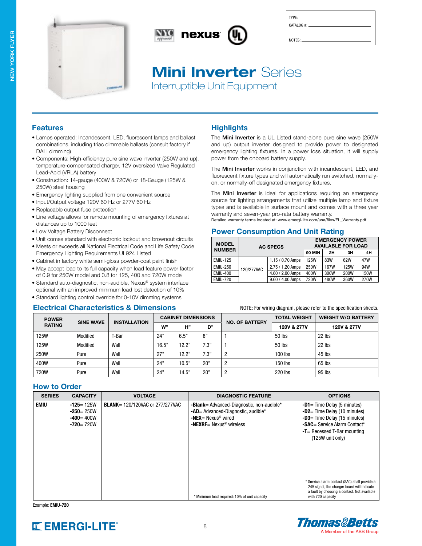





| TYPE: www.astronometer.com |
|----------------------------|
|                            |

## **Mini Inverter Series** Interruptible Unit Equipment

**Features** 

- Lamps operated: Incandescent, LED, fluorescent lamps and ballast combinations, including triac dimmable ballasts (consult factory if DALI dimming)
- Components: High-efficiency pure sine wave inverter (250W and up), temperature-compensated charger, 12V oversized Valve Regulated Lead-Acid (VRLA) battery
- Construction: 14-gauge (400W & 720W) or 18-Gauge (125W & 250W) steel housing
- Emergency lighting supplied from one convenient source
- Input/Output voltage 120V 60 Hz or 277V 60 Hz
- Replacable output fuse protection
- Line voltage allows for remote mounting of emergency fixtures at distances up to 1000 feet
- Low Voltage Battery Disconnect
- Unit comes standard with electronic lockout and brownout circuits
- Meets or exceeds all National Electrical Code and Life Safety Code Emergency Lighting Requirements UL924 Listed
- Cabinet in factory white semi-gloss powder-coat paint finish
- May accept load to its full capacity when load feature power factor of 0.9 for 250W model and 0.8 for 125, 400 and 720W model
- Standard auto-diagnostic, non-audible, Nexus® system interface optional with an improved minimum load lost detection of 10%
- Standard lighting control override for 0-10V dimming systems

#### Electrical Characteristics & Dimensions Note: For wiring diagram, please refer to the specification sheets.

#### **Highlights**

The Mini Inverter is a UL Listed stand-alone pure sine wave (250W and up) output inverter designed to provide power to designated emergency lighting fixtures. In a power loss situation, it will supply power from the onboard battery supply.

The Mini Inverter works in conjunction with incandescent, LED, and fluorescent fixture types and will automatically run switched, normallyon, or normally-off designated emergency fixtures.

The **Mini Inverter** is ideal for applications requiring an emergency source for lighting arrangements that utilize multiple lamp and fixture types and is available in surface mount and comes with a three year warranty and seven-year pro-rata battery warranty.

Detailed warranty terms located at: www.emergi-lite.com/usa/files/EL\_Warranty.pdf

#### Power Consumption And Unit Rating

| <b>MODEL</b>    |            | <b>AC SPECS</b>  |               |      | <b>EMERGENCY POWER</b><br><b>AVAILABLE FOR LOAD</b> |             |
|-----------------|------------|------------------|---------------|------|-----------------------------------------------------|-------------|
| <b>NUMBER</b>   |            |                  | <b>90 MIN</b> | 2H   | зн                                                  | 4H          |
| <b>EMIU-125</b> |            | $1.15/0.70$ Amps | 125W          | 83W  | 62W                                                 | 47W         |
| <b>EMIU-250</b> | 120/277VAC | 2.75 / 1.20 Amps | 250W          | 167W | 125W                                                | 94W         |
| <b>EMIU-400</b> |            | 4.60 / 2.00 Amps | 400W          | 300W | 200W                                                | <b>150W</b> |
| <b>EMIU-720</b> |            | 9.60 / 4.00 Amps | 720W          | 480W | 360W                                                | 270W        |

| <b>POWER</b>  | <b>SINE WAVE</b> | <b>INSTALLATION</b> | <b>CABINET DIMENSIONS</b> |       |      | <b>NO. OF BATTERY</b> | <b>TOTAL WEIGHT</b> | <b>WEIGHT W/O BATTERY</b> |
|---------------|------------------|---------------------|---------------------------|-------|------|-----------------------|---------------------|---------------------------|
| <b>RATING</b> |                  |                     | w"                        | н"    | D"   |                       | 120V & 277V         | 120V & 277V               |
| 125W          | Modified         | T-Bar               | 24"                       | 6.5"  | 8"   |                       | 50 lbs              | 22 lbs                    |
| 125W          | Modified         | Wall                | 16.5"                     | 12.2" | 7.3" |                       | 50 lbs              | 22 lbs                    |
| <b>250W</b>   | Pure             | Wall                | 27"                       | 12.2" | 7.3" | 2                     | $100$ lbs           | 45 lbs                    |
| 400W          | Pure             | Wall                | 24"                       | 10.5" | 20"  | 2                     | 150 lbs             | 65 lbs                    |
| 720W          | Pure             | Wall                | 24"                       | 14.5" | 20"  |                       | 220 lbs             | 95 lbs                    |

#### How to Order

| <b>SERIES</b> | <b>CAPACITY</b>                                                  | <b>VOLTAGE</b>                          | <b>DIAGNOSTIC FEATURE</b>                                                                                                                                             | <b>OPTIONS</b>                                                                                                                                                                          |
|---------------|------------------------------------------------------------------|-----------------------------------------|-----------------------------------------------------------------------------------------------------------------------------------------------------------------------|-----------------------------------------------------------------------------------------------------------------------------------------------------------------------------------------|
| EMIU          | $-125 = 125W$<br>$-250 = 250W$<br>$-400 = 400W$<br>$-720 = 720W$ | <b>BLANK</b> = 120/120VAC or 277/277VAC | -Blank = Advanced-Diagnostic, non-audible*<br>$-AD =$ Advanced-Diagnostic, audible*<br>-NEX= Nexus <sup>®</sup> wired<br>- <b>NEXRF</b> = Nexus <sup>®</sup> wireless | $-D1 =$ Time Delay (5 minutes)<br>$-D2$ = Time Delay (10 minutes)<br>$-D3=$ Time Delay (15 minutes)<br>-SAC= Service Alarm Contact*<br>$-T$ Recessed T-Bar mounting<br>(125W unit only) |
|               |                                                                  |                                         | * Minimum load required: 10% of unit capacity                                                                                                                         | * Service alarm contact (SAC) shall provide a<br>24V signal, the charger board will indicate<br>a fault by choosing a contact. Not available<br>with 720 capacity                       |

Example: EMIU-720



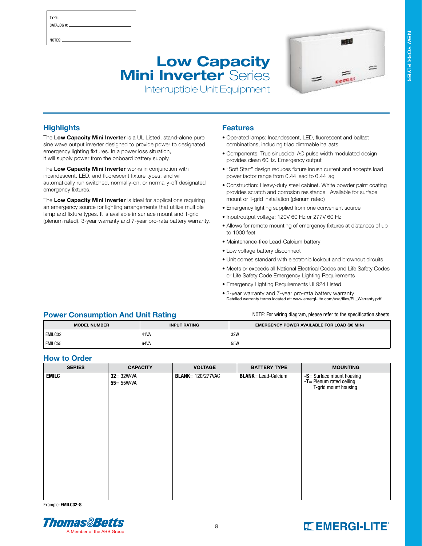## Low Capacity **Mini Inverter Series** Interruptible Unit Equipment



### **Highlights**

The Low Capacity Mini Inverter is a UL Listed, stand-alone pure sine wave output inverter designed to provide power to designated emergency lighting fixtures. In a power loss situation, it will supply power from the onboard battery supply.

The Low Capacity Mini Inverter works in conjunction with incandescent, LED, and fluorescent fixture types, and will automatically run switched, normally-on, or normally-off designated emergency fixtures.

The Low Capacity Mini Inverter is ideal for applications requiring an emergency source for lighting arrangements that utilize multiple lamp and fixture types. It is available in surface mount and T-grid (plenum rated). 3-year warranty and 7-year pro-rata battery warranty.

#### **Features**

- Operated lamps: Incandescent, LED, fluorescent and ballast combinations, including triac dimmable ballasts
- Components: True sinusoidal AC pulse width modulated design provides clean 60Hz. Emergency output
- "Soft Start" design reduces fixture inrush current and accepts load power factor range from 0.44 lead to 0.44 lag
- Construction: Heavy-duty steel cabinet. White powder paint coating provides scratch and corrosion resistance. Available for surface mount or T-grid installation (plenum rated)
- Emergency lighting supplied from one convenient source
- Input/output voltage: 120V 60 Hz or 277V 60 Hz
- Allows for remote mounting of emergency fixtures at distances of up to 1000 feet
- Maintenance-free Lead-Calcium battery
- Low voltage battery disconnect
- Unit comes standard with electronic lockout and brownout circuits
- Meets or exceeds all National Electrical Codes and Life Safety Codes or Life Safety Code Emergency Lighting Requirements
- Emergency Lighting Requirements UL924 Listed
- 3-year warranty and 7-year pro-rata battery warranty Detailed warranty terms located at: www.emergi-lite.com/usa/files/EL\_Warranty.pdf

### Power Consumption And Unit Rating

#### NOTE: For wiring diagram, please refer to the specification sheets.

| <b>MODEL NUMBER</b> | <b>INPUT RATING</b> | <b>EMERGENCY POWER AVAILABLE FOR LOAD (90 MIN)</b> |
|---------------------|---------------------|----------------------------------------------------|
| EMILC32             | 41 <sub>V</sub> A   | 32W                                                |
| EMILC55             | 64VA                | 55W                                                |

#### How to Order

| <b>SERIES</b> | <b>CAPACITY</b>                | <b>VOLTAGE</b>            | <b>BATTERY TYPE</b>         | <b>MOUNTING</b>                                                               |
|---------------|--------------------------------|---------------------------|-----------------------------|-------------------------------------------------------------------------------|
| <b>EMILC</b>  | $32 = 32W/NA$<br>$55 = 55W/NA$ | <b>BLANK</b> = 120/277VAC | <b>BLANK</b> = Lead-Calcium | -S= Surface mount housing<br>-T= Plenum rated ceiling<br>T-grid mount housing |
|               |                                |                           |                             |                                                                               |

Example: EMILC32-S





9